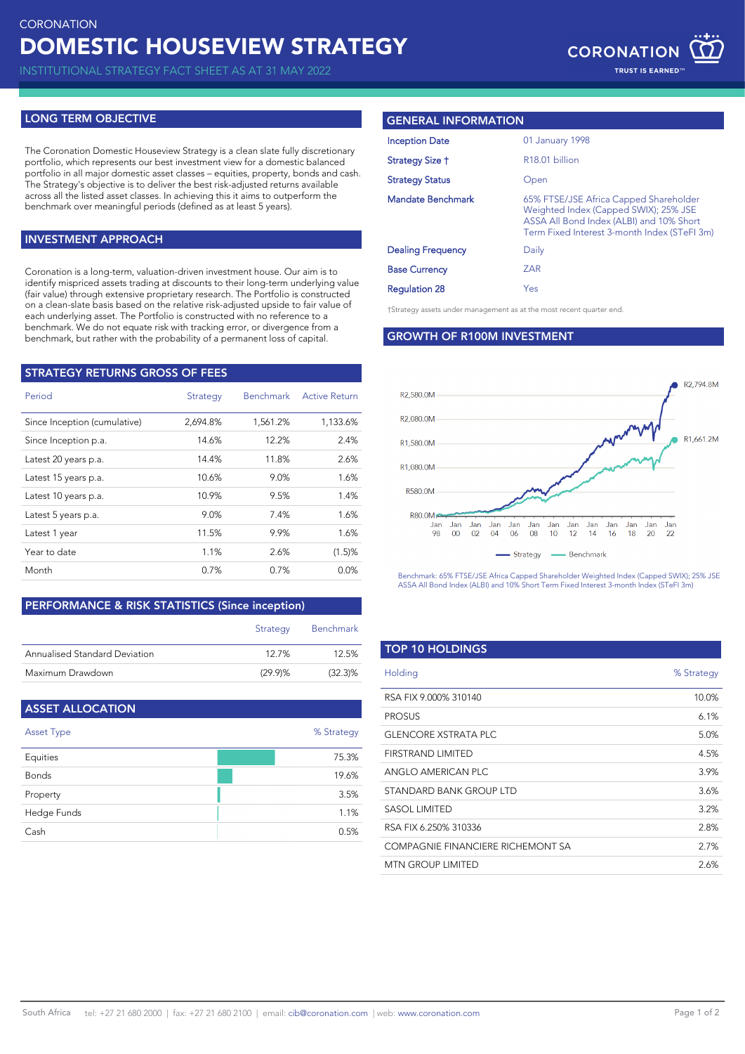INSTITUTIONAL STRATEGY FACT SHEET AS AT 31 MAY 2022

# **LONG TERM OBJECTIVE**

The Coronation Domestic Houseview Strategy is a clean slate fully discretionary portfolio, which represents our best investment view for a domestic balanced portfolio in all major domestic asset classes – equities, property, bonds and cash. The Strategy's objective is to deliver the best risk-adjusted returns available across all the listed asset classes. In achieving this it aims to outperform the benchmark over meaningful periods (defined as at least 5 years).

# **INVESTMENT APPROACH**

Coronation is a long-term, valuation-driven investment house. Our aim is to identify mispriced assets trading at discounts to their long-term underlying value (fair value) through extensive proprietary research. The Portfolio is constructed on a clean-slate basis based on the relative risk-adjusted upside to fair value of each underlying asset. The Portfolio is constructed with no reference to a benchmark. We do not equate risk with tracking error, or divergence from a benchmark, but rather with the probability of a permanent loss of capital.

| STRATEGY RETURNS GROSS OF FEES |          |           |                      |
|--------------------------------|----------|-----------|----------------------|
| Period                         | Strategy | Benchmark | <b>Active Return</b> |
| Since Inception (cumulative)   | 2,694.8% | 1,561.2%  | 1,133.6%             |
| Since Inception p.a.           | 14.6%    | 12.2%     | 2.4%                 |
| Latest 20 years p.a.           | 14.4%    | 11.8%     | 2.6%                 |
| Latest 15 years p.a.           | 10.6%    | 9.0%      | 1.6%                 |
| Latest 10 years p.a.           | 10.9%    | 9.5%      | 1.4%                 |
| Latest 5 years p.a.            | 9.0%     | 7.4%      | 1.6%                 |
| Latest 1 year                  | 11.5%    | 9.9%      | 1.6%                 |
| Year to date                   | 1.1%     | 2.6%      | (1.5)%               |
| Month                          | 0.7%     | 0.7%      | 0.0%                 |
|                                |          |           |                      |

# **PERFORMANCE & RISK STATISTICS (Since inception)**

|                               | Strategy | Benchmark  |
|-------------------------------|----------|------------|
| Annualised Standard Deviation | 127%     | 12.5%      |
| Maximum Drawdown              | (29.9)%  | $(32.3)\%$ |

| <b>ASSET ALLOCATION</b> |            |
|-------------------------|------------|
| Asset Type              | % Strategy |
| Equities                | 75.3%      |
| <b>Bonds</b>            | 19.6%      |
| Property                | 3.5%       |
| Hedge Funds             | 1.1%       |
| Cash                    | 0.5%       |

### **GENERAL INFORMATION**

| <b>Inception Date</b>    | 01 January 1998                                                                                                                                                             |
|--------------------------|-----------------------------------------------------------------------------------------------------------------------------------------------------------------------------|
| Strategy Size †          | R <sub>18.01</sub> billion                                                                                                                                                  |
| <b>Strategy Status</b>   | Open                                                                                                                                                                        |
| <b>Mandate Benchmark</b> | 65% FTSE/JSE Africa Capped Shareholder<br>Weighted Index (Capped SWIX); 25% JSE<br>ASSA All Bond Index (ALBI) and 10% Short<br>Term Fixed Interest 3-month Index (STeFI 3m) |
| <b>Dealing Frequency</b> | Daily                                                                                                                                                                       |
| <b>Base Currency</b>     | <b>ZAR</b>                                                                                                                                                                  |
| <b>Regulation 28</b>     | Yes                                                                                                                                                                         |

†Strategy assets under management as at the most recent quarter end.

#### **GROWTH OF R100M INVESTMENT**



Benchmark: 65% FTSE/JSE Africa Capped Shareholder Weighted Index (Capped SWIX); 25% JSE ASSA All Bond Index (ALBI) and 10% Short Term Fixed Interest 3-month Index (STeFI 3m)

| <b>TOP 10 HOLDINGS</b>            |            |
|-----------------------------------|------------|
| Holding                           | % Strategy |
| RSA FIX 9.000% 310140             | 10.0%      |
| <b>PROSUS</b>                     | 6.1%       |
| <b>GLENCORE XSTRATA PLC</b>       | 5.0%       |
| FIRSTRAND LIMITED                 | 4.5%       |
| ANGLO AMERICAN PLC                | 3.9%       |
| STANDARD BANK GROUP LTD           | 3.6%       |
| SASOL LIMITED                     | 3.2%       |
| RSA FIX 6.250% 310336             | 2.8%       |
| COMPAGNIE FINANCIERE RICHEMONT SA | 2.7%       |
| <b>MTN GROUP LIMITED</b>          | 2.6%       |